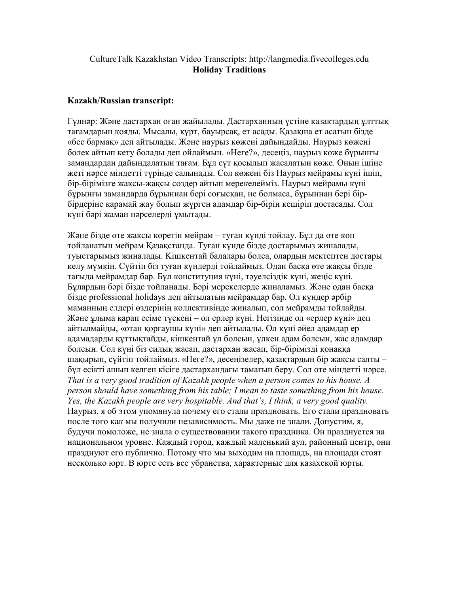## CultureTalk Kazakhstan Video Transcripts: http://langmedia.fivecolleges.edu Holiday Traditions

## Kazakh/Russian transcript:

Гүлнəр: Жəне дастархан оған жайылады. Дастарханның үстіне қазақтардың ұлттық тағамдарын қояды. Мысалы, құрт, бауырсақ, ет асады. Қазақша ет асатын бізде «бес бармақ» деп айтылады. Жəне наурыз көжені дайындайды. Наурыз көжені бөлек айтып кету болады деп ойлаймын. «Неге?», десеңіз, наурыз көже бұрынғы замандардан дайындалатын тағам. Бұл сүт қосылып жасалатын көже. Онын ішіне жеті нəрсе міндетті түрінде салынады. Сол көжені біз Наурыз мейрамы күні ішіп, бір-бірімізге жақсы-жақсы сөздер айтып мерекелейміз. Наурыз мейрамы күні бұрынғы замандарда бұрыннан бері соғысқан, не болмаса, бұрыннан бері бірбірдеріне қарамай жау болып жүрген адамдар бір-бірін кешіріп достасaды. Сол күні бəрі жаман нəрселерді ұмытaды.

Жəне бізде өте жақсы көретін мейрам – туған күнді тойлау. Бұл да өте көп тойланатын мейрам Қазақстанда. Туған күнде бізде достарымыз жиналады, туыстарымыз жиналады. Kішкентай балалары болса, олардың мектептен достары келу мүмкін. Сүйтіп біз туған күндерді тойлаймыз. Одан басқа өте жақсы бізде тағыда мейрамдар бар. Бұл конституция күні, тəуелсіздік күні, жеңіс күні. Бұлардың бəрі бізде тойланады. Бəрі мерекелерде жиналамыз. Жəне одан басқа бізде professional holidays деп айтылатын мейрамдар бар. Ол күндер əрбір маманның елдері өздерінің коллективінде жиналып, сол мейрамды тойлайды. Жəне ұлыма қарап есіме түскені – ол ерлер күні. Негізінде ол «ерлер күні» деп айтылмайды, «отан қорғаушы күні» деп айтылады. Ол күні əйел адамдар ер адамадарды құттықтайды, кішкентай ұл болсын, үлкен адам болсын, жас адамдар болсын. Сол күні біз силық жасап, дастархан жасап, бір-бірімізді қонаққа шақырып, сүйтіп тойлаймыз. «Неге?», десеңізедер, қазақтардың бір жақсы салты – бұл есікті ашып келген кісіге дастархандағы тамағын беру. Сол өте міндетті нəрсе. That is a very good tradition of Kazakh people when а person comes to his house. A person should have something from his table; I mean to taste something from his house. Yes, the Kazakh people are very hospitable. And that's, I think, a very good quality. Наурыз, я об этом упомянула почему eго стали праздновать. Его стали праздновать после того как мы получили независимость. Мы даже не знали. Допустим, я, будучи помоложе, не знала о существовании такого праздника. Он празднуется на национальном уровне. Каждый город, каждый маленький аул, районный центр, они празднуют его публично. Потому что мы выходим на площадь, на площади стоят несколько юрт. В юрте есть все убранства, характерные для казахской юрты.